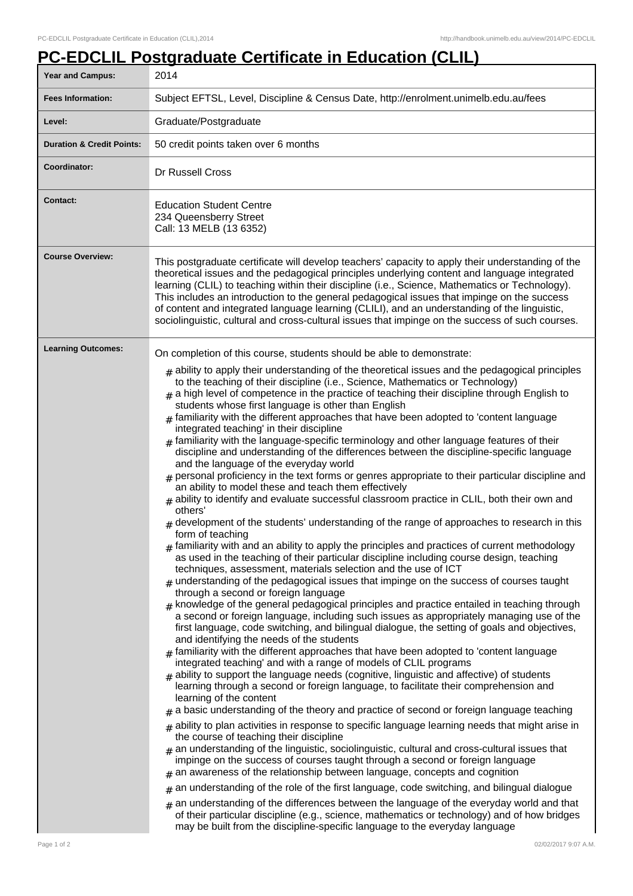## **PC-EDCLIL Postgraduate Certificate in Education (CLIL)**

| Year and Campus:                     | 2014                                                                                                                                                                                                                                                                                                                                                                                                                                                                                                                                                                                                                                                                                                                                                                                                                                                                                                                                                                                                                                                                                                                                                                                                                                                                                                                                                                                                                                                                                                                                                                                                                                                                                                                                                                                                                                                                                                                                                                                                                                                                                                                                                                                                                                                                                                                                                                                                                                                                                                                                                                                                                                                                                                                                                                                                                                                                                                                                                                                |  |  |
|--------------------------------------|-------------------------------------------------------------------------------------------------------------------------------------------------------------------------------------------------------------------------------------------------------------------------------------------------------------------------------------------------------------------------------------------------------------------------------------------------------------------------------------------------------------------------------------------------------------------------------------------------------------------------------------------------------------------------------------------------------------------------------------------------------------------------------------------------------------------------------------------------------------------------------------------------------------------------------------------------------------------------------------------------------------------------------------------------------------------------------------------------------------------------------------------------------------------------------------------------------------------------------------------------------------------------------------------------------------------------------------------------------------------------------------------------------------------------------------------------------------------------------------------------------------------------------------------------------------------------------------------------------------------------------------------------------------------------------------------------------------------------------------------------------------------------------------------------------------------------------------------------------------------------------------------------------------------------------------------------------------------------------------------------------------------------------------------------------------------------------------------------------------------------------------------------------------------------------------------------------------------------------------------------------------------------------------------------------------------------------------------------------------------------------------------------------------------------------------------------------------------------------------------------------------------------------------------------------------------------------------------------------------------------------------------------------------------------------------------------------------------------------------------------------------------------------------------------------------------------------------------------------------------------------------------------------------------------------------------------------------------------------------|--|--|
| <b>Fees Information:</b>             | Subject EFTSL, Level, Discipline & Census Date, http://enrolment.unimelb.edu.au/fees                                                                                                                                                                                                                                                                                                                                                                                                                                                                                                                                                                                                                                                                                                                                                                                                                                                                                                                                                                                                                                                                                                                                                                                                                                                                                                                                                                                                                                                                                                                                                                                                                                                                                                                                                                                                                                                                                                                                                                                                                                                                                                                                                                                                                                                                                                                                                                                                                                                                                                                                                                                                                                                                                                                                                                                                                                                                                                |  |  |
| Level:                               | Graduate/Postgraduate                                                                                                                                                                                                                                                                                                                                                                                                                                                                                                                                                                                                                                                                                                                                                                                                                                                                                                                                                                                                                                                                                                                                                                                                                                                                                                                                                                                                                                                                                                                                                                                                                                                                                                                                                                                                                                                                                                                                                                                                                                                                                                                                                                                                                                                                                                                                                                                                                                                                                                                                                                                                                                                                                                                                                                                                                                                                                                                                                               |  |  |
| <b>Duration &amp; Credit Points:</b> | 50 credit points taken over 6 months                                                                                                                                                                                                                                                                                                                                                                                                                                                                                                                                                                                                                                                                                                                                                                                                                                                                                                                                                                                                                                                                                                                                                                                                                                                                                                                                                                                                                                                                                                                                                                                                                                                                                                                                                                                                                                                                                                                                                                                                                                                                                                                                                                                                                                                                                                                                                                                                                                                                                                                                                                                                                                                                                                                                                                                                                                                                                                                                                |  |  |
| Coordinator:                         | Dr Russell Cross                                                                                                                                                                                                                                                                                                                                                                                                                                                                                                                                                                                                                                                                                                                                                                                                                                                                                                                                                                                                                                                                                                                                                                                                                                                                                                                                                                                                                                                                                                                                                                                                                                                                                                                                                                                                                                                                                                                                                                                                                                                                                                                                                                                                                                                                                                                                                                                                                                                                                                                                                                                                                                                                                                                                                                                                                                                                                                                                                                    |  |  |
| <b>Contact:</b>                      | <b>Education Student Centre</b><br>234 Queensberry Street<br>Call: 13 MELB (13 6352)                                                                                                                                                                                                                                                                                                                                                                                                                                                                                                                                                                                                                                                                                                                                                                                                                                                                                                                                                                                                                                                                                                                                                                                                                                                                                                                                                                                                                                                                                                                                                                                                                                                                                                                                                                                                                                                                                                                                                                                                                                                                                                                                                                                                                                                                                                                                                                                                                                                                                                                                                                                                                                                                                                                                                                                                                                                                                                |  |  |
| <b>Course Overview:</b>              | This postgraduate certificate will develop teachers' capacity to apply their understanding of the<br>theoretical issues and the pedagogical principles underlying content and language integrated<br>learning (CLIL) to teaching within their discipline (i.e., Science, Mathematics or Technology).<br>This includes an introduction to the general pedagogical issues that impinge on the success<br>of content and integrated language learning (CLILI), and an understanding of the linguistic,<br>sociolinguistic, cultural and cross-cultural issues that impinge on the success of such courses.                                                                                                                                                                                                                                                                                                                                                                                                                                                                                                                                                                                                                                                                                                                                                                                                                                                                                                                                                                                                                                                                                                                                                                                                                                                                                                                                                                                                                                                                                                                                                                                                                                                                                                                                                                                                                                                                                                                                                                                                                                                                                                                                                                                                                                                                                                                                                                             |  |  |
| <b>Learning Outcomes:</b>            | On completion of this course, students should be able to demonstrate:<br>$#$ ability to apply their understanding of the theoretical issues and the pedagogical principles<br>to the teaching of their discipline (i.e., Science, Mathematics or Technology)<br>$#$ a high level of competence in the practice of teaching their discipline through English to<br>students whose first language is other than English<br>$*$ familiarity with the different approaches that have been adopted to 'content language<br>integrated teaching' in their discipline<br>$_{\text{\#}}$ familiarity with the language-specific terminology and other language features of their<br>discipline and understanding of the differences between the discipline-specific language<br>and the language of the everyday world<br>personal proficiency in the text forms or genres appropriate to their particular discipline and<br>an ability to model these and teach them effectively<br>$#$ ability to identify and evaluate successful classroom practice in CLIL, both their own and<br>others'<br>development of the students' understanding of the range of approaches to research in this<br>form of teaching<br>$#$ familiarity with and an ability to apply the principles and practices of current methodology<br>as used in the teaching of their particular discipline including course design, teaching<br>techniques, assessment, materials selection and the use of ICT<br>$_{\#}$ understanding of the pedagogical issues that impinge on the success of courses taught<br>through a second or foreign language<br>$#$ knowledge of the general pedagogical principles and practice entailed in teaching through<br>a second or foreign language, including such issues as appropriately managing use of the<br>first language, code switching, and bilingual dialogue, the setting of goals and objectives,<br>and identifying the needs of the students<br>familiarity with the different approaches that have been adopted to 'content language<br>#<br>integrated teaching' and with a range of models of CLIL programs<br>$#$ ability to support the language needs (cognitive, linguistic and affective) of students<br>learning through a second or foreign language, to facilitate their comprehension and<br>learning of the content<br>a basic understanding of the theory and practice of second or foreign language teaching<br>#<br>$_{\#}$ ability to plan activities in response to specific language learning needs that might arise in<br>the course of teaching their discipline<br>$_{\#}$ an understanding of the linguistic, sociolinguistic, cultural and cross-cultural issues that<br>impinge on the success of courses taught through a second or foreign language<br>an awareness of the relationship between language, concepts and cognition<br>#<br>an understanding of the role of the first language, code switching, and bilingual dialogue<br># |  |  |
|                                      | an understanding of the differences between the language of the everyday world and that<br>of their particular discipline (e.g., science, mathematics or technology) and of how bridges<br>may be built from the discipline-specific language to the everyday language                                                                                                                                                                                                                                                                                                                                                                                                                                                                                                                                                                                                                                                                                                                                                                                                                                                                                                                                                                                                                                                                                                                                                                                                                                                                                                                                                                                                                                                                                                                                                                                                                                                                                                                                                                                                                                                                                                                                                                                                                                                                                                                                                                                                                                                                                                                                                                                                                                                                                                                                                                                                                                                                                                              |  |  |